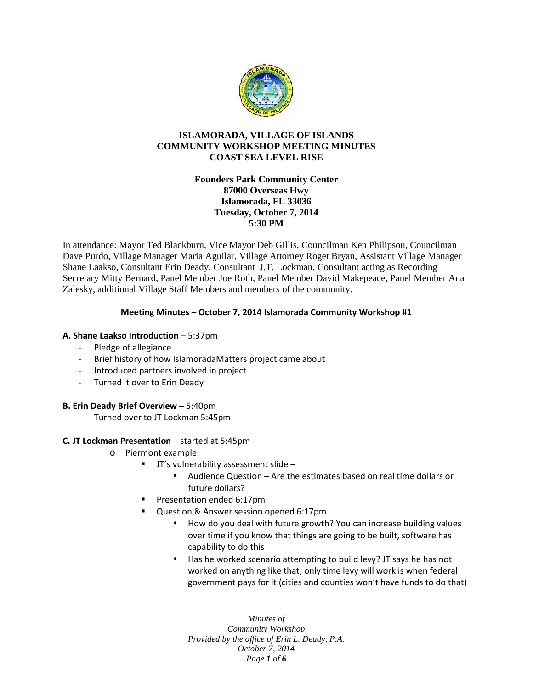

# **ISLAMORADA, VILLAGE OF ISLANDS COMMUNITY WORKSHOP MEETING MINUTES COAST SEA LEVEL RISE**

### **Founders Park Community Center 87000 Overseas Hwy Islamorada, FL 33036 Tuesday, October 7, 2014 5:30 PM**

In attendance: Mayor Ted Blackburn, Vice Mayor Deb Gillis, Councilman Ken Philipson, Councilman Dave Purdo, Village Manager Maria Aguilar, Village Attorney Roget Bryan, Assistant Village Manager Shane Laakso, Consultant Erin Deady, Consultant J.T. Lockman, Consultant acting as Recording Secretary Mitty Bernard, Panel Member Joe Roth, Panel Member David Makepeace, Panel Member Ana Zalesky, additional Village Staff Members and members of the community.

# **Meeting Minutes – October 7, 2014 Islamorada Community Workshop #1**

### **A. Shane Laakso Introduction** – 5:37pm

- Pledge of allegiance
- Brief history of how IslamoradaMatters project came about
- Introduced partners involved in project
- Turned it over to Erin Deady

#### **B. Erin Deady Brief Overview** – 5:40pm

Turned over to JT Lockman 5:45pm

### **C. JT Lockman Presentation** – started at 5:45pm

- o Piermont example:
	- JT's vulnerability assessment slide
		- Audience Question Are the estimates based on real time dollars or future dollars?
	- Presentation ended 6:17pm
	- Question & Answer session opened 6:17pm
		- How do you deal with future growth? You can increase building values over time if you know that things are going to be built, software has capability to do this
		- Has he worked scenario attempting to build levy? JT says he has not worked on anything like that, only time levy will work is when federal government pays for it (cities and counties won't have funds to do that)

*Minutes of Community Workshop Provided by the office of Erin L. Deady, P.A. October 7, 2014 Page 1 of 6*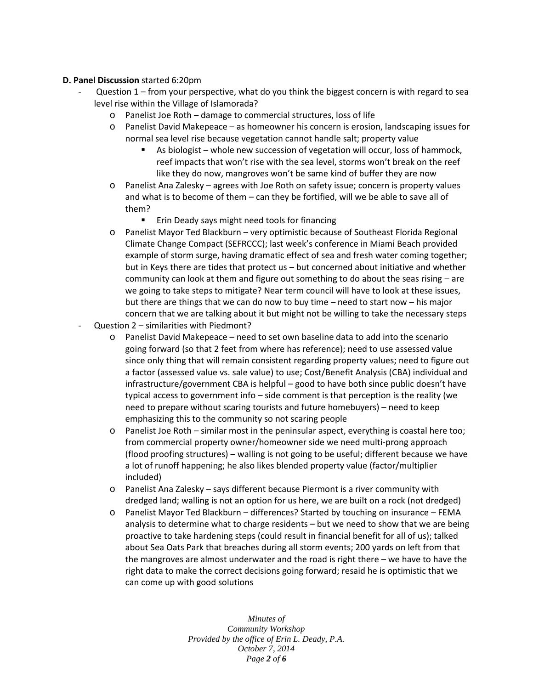#### **D. Panel Discussion** started 6:20pm

- Question  $1$  from your perspective, what do you think the biggest concern is with regard to sea level rise within the Village of Islamorada?
	- o Panelist Joe Roth damage to commercial structures, loss of life
	- o Panelist David Makepeace as homeowner his concern is erosion, landscaping issues for normal sea level rise because vegetation cannot handle salt; property value
		- As biologist whole new succession of vegetation will occur, loss of hammock, reef impacts that won't rise with the sea level, storms won't break on the reef like they do now, mangroves won't be same kind of buffer they are now
	- o Panelist Ana Zalesky agrees with Joe Roth on safety issue; concern is property values and what is to become of them – can they be fortified, will we be able to save all of them?
		- Erin Deady says might need tools for financing
	- o Panelist Mayor Ted Blackburn very optimistic because of Southeast Florida Regional Climate Change Compact (SEFRCCC); last week's conference in Miami Beach provided example of storm surge, having dramatic effect of sea and fresh water coming together; but in Keys there are tides that protect us – but concerned about initiative and whether community can look at them and figure out something to do about the seas rising  $-$  are we going to take steps to mitigate? Near term council will have to look at these issues, but there are things that we can do now to buy time – need to start now – his major concern that we are talking about it but might not be willing to take the necessary steps
- Question 2 similarities with Piedmont?
	- o Panelist David Makepeace need to set own baseline data to add into the scenario going forward (so that 2 feet from where has reference); need to use assessed value since only thing that will remain consistent regarding property values; need to figure out a factor (assessed value vs. sale value) to use; Cost/Benefit Analysis (CBA) individual and infrastructure/government CBA is helpful – good to have both since public doesn't have typical access to government info – side comment is that perception is the reality (we need to prepare without scaring tourists and future homebuyers) – need to keep emphasizing this to the community so not scaring people
	- o Panelist Joe Roth similar most in the peninsular aspect, everything is coastal here too; from commercial property owner/homeowner side we need multi-prong approach (flood proofing structures) – walling is not going to be useful; different because we have a lot of runoff happening; he also likes blended property value (factor/multiplier included)
	- o Panelist Ana Zalesky says different because Piermont is a river community with dredged land; walling is not an option for us here, we are built on a rock (not dredged)
	- o Panelist Mayor Ted Blackburn differences? Started by touching on insurance FEMA analysis to determine what to charge residents – but we need to show that we are being proactive to take hardening steps (could result in financial benefit for all of us); talked about Sea Oats Park that breaches during all storm events; 200 yards on left from that the mangroves are almost underwater and the road is right there – we have to have the right data to make the correct decisions going forward; resaid he is optimistic that we can come up with good solutions

*Minutes of Community Workshop Provided by the office of Erin L. Deady, P.A. October 7, 2014 Page 2 of 6*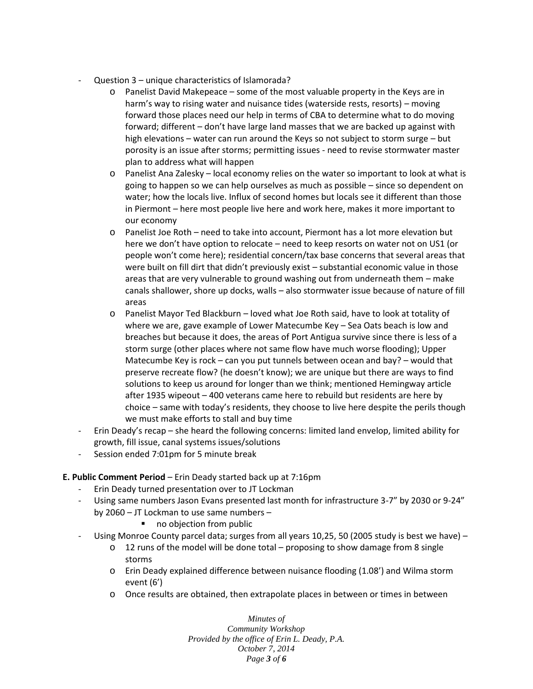- Question 3 unique characteristics of Islamorada?
	- o Panelist David Makepeace some of the most valuable property in the Keys are in harm's way to rising water and nuisance tides (waterside rests, resorts) – moving forward those places need our help in terms of CBA to determine what to do moving forward; different – don't have large land masses that we are backed up against with high elevations – water can run around the Keys so not subject to storm surge – but porosity is an issue after storms; permitting issues - need to revise stormwater master plan to address what will happen
	- $\circ$  Panelist Ana Zalesky local economy relies on the water so important to look at what is going to happen so we can help ourselves as much as possible – since so dependent on water; how the locals live. Influx of second homes but locals see it different than those in Piermont – here most people live here and work here, makes it more important to our economy
	- o Panelist Joe Roth need to take into account, Piermont has a lot more elevation but here we don't have option to relocate – need to keep resorts on water not on US1 (or people won't come here); residential concern/tax base concerns that several areas that were built on fill dirt that didn't previously exist – substantial economic value in those areas that are very vulnerable to ground washing out from underneath them – make canals shallower, shore up docks, walls – also stormwater issue because of nature of fill areas
	- o Panelist Mayor Ted Blackburn loved what Joe Roth said, have to look at totality of where we are, gave example of Lower Matecumbe Key – Sea Oats beach is low and breaches but because it does, the areas of Port Antigua survive since there is less of a storm surge (other places where not same flow have much worse flooding); Upper Matecumbe Key is rock – can you put tunnels between ocean and bay? – would that preserve recreate flow? (he doesn't know); we are unique but there are ways to find solutions to keep us around for longer than we think; mentioned Hemingway article after 1935 wipeout – 400 veterans came here to rebuild but residents are here by choice – same with today's residents, they choose to live here despite the perils though we must make efforts to stall and buy time
- Erin Deady's recap she heard the following concerns: limited land envelop, limited ability for growth, fill issue, canal systems issues/solutions
- Session ended 7:01pm for 5 minute break

# **E. Public Comment Period** – Erin Deady started back up at 7:16pm

- Erin Deady turned presentation over to JT Lockman
- Using same numbers Jason Evans presented last month for infrastructure 3-7" by 2030 or 9-24" by 2060 – JT Lockman to use same numbers –
	- no objection from public
- Using Monroe County parcel data; surges from all years 10,25, 50 (2005 study is best we have) -
	- $\circ$  12 runs of the model will be done total proposing to show damage from 8 single storms
	- o Erin Deady explained difference between nuisance flooding (1.08') and Wilma storm event (6')
	- o Once results are obtained, then extrapolate places in between or times in between

*Minutes of Community Workshop Provided by the office of Erin L. Deady, P.A. October 7, 2014 Page 3 of 6*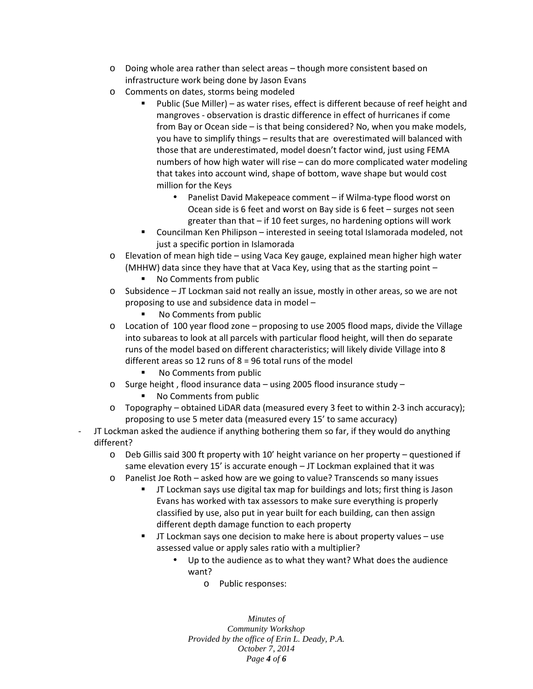- o Doing whole area rather than select areas though more consistent based on infrastructure work being done by Jason Evans
- o Comments on dates, storms being modeled
	- Public (Sue Miller) as water rises, effect is different because of reef height and mangroves - observation is drastic difference in effect of hurricanes if come from Bay or Ocean side – is that being considered? No, when you make models, you have to simplify things – results that are overestimated will balanced with those that are underestimated, model doesn't factor wind, just using FEMA numbers of how high water will rise – can do more complicated water modeling that takes into account wind, shape of bottom, wave shape but would cost million for the Keys
		- Panelist David Makepeace comment if Wilma-type flood worst on Ocean side is 6 feet and worst on Bay side is 6 feet – surges not seen greater than that – if 10 feet surges, no hardening options will work
	- Councilman Ken Philipson interested in seeing total Islamorada modeled, not just a specific portion in Islamorada
- o Elevation of mean high tide using Vaca Key gauge, explained mean higher high water (MHHW) data since they have that at Vaca Key, using that as the starting point –
	- No Comments from public
- o Subsidence JT Lockman said not really an issue, mostly in other areas, so we are not proposing to use and subsidence data in model –
	- No Comments from public
- $\circ$  Location of 100 year flood zone proposing to use 2005 flood maps, divide the Village into subareas to look at all parcels with particular flood height, will then do separate runs of the model based on different characteristics; will likely divide Village into 8 different areas so 12 runs of  $8 = 96$  total runs of the model
	- No Comments from public
- o Surge height , flood insurance data using 2005 flood insurance study
	- No Comments from public
- o Topography obtained LiDAR data (measured every 3 feet to within 2-3 inch accuracy); proposing to use 5 meter data (measured every 15'to same accuracy)
- JT Lockman asked the audience if anything bothering them so far, if they would do anything different?
	- o Deb Gillis said 300 ft property with 10' height variance on her property questioned if same elevation every 15' is accurate enough – JT Lockman explained that it was
	- o Panelist Joe Roth asked how are we going to value? Transcends so many issues
		- JT Lockman says use digital tax map for buildings and lots; first thing is Jason Evans has worked with tax assessors to make sure everything is properly classified by use, also put in year built for each building, can then assign different depth damage function to each property
		- JT Lockman says one decision to make here is about property values use assessed value or apply sales ratio with a multiplier?
			- Up to the audience as to what they want? What does the audience want?
				- o Public responses:

*Minutes of Community Workshop Provided by the office of Erin L. Deady, P.A. October 7, 2014 Page 4 of 6*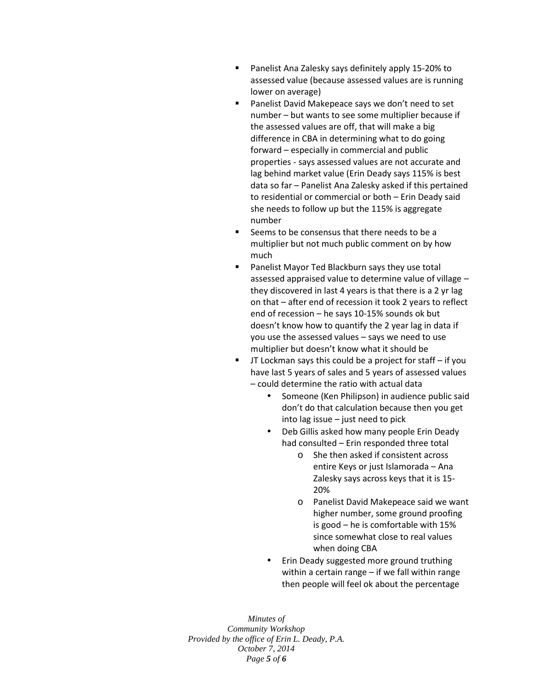- Panelist Ana Zalesky says definitely apply 15-20% to assessed value (because assessed values are is running lower on average)
- **Panelist David Makepeace says we don't need to set** number – but wants to see some multiplier because if the assessed values are off, that will make a big difference in CBA in determining what to do going forward – especially in commercial and public properties - says assessed values are not accurate and lag behind market value (Erin Deady says 115% is best data so far – Panelist Ana Zalesky asked if this pertained to residential or commercial or both – Erin Deady said she needs to follow up but the 115% is aggregate number
- Seems to be consensus that there needs to be a multiplier but not much public comment on by how much
- Panelist Mayor Ted Blackburn says they use total assessed appraised value to determine value of village – they discovered in last 4 years is that there is a 2 yr lag on that – after end of recession it took 2 years to reflect end of recession – he says 10-15% sounds ok but doesn't know how to quantify the 2 year lag in data if you use the assessed values – says we need to use multiplier but doesn't know what it should be
- JT Lockman says this could be a project for staff if you have last 5 years of sales and 5 years of assessed values – could determine the ratio with actual data
	- Someone (Ken Philipson) in audience public said don't do that calculation because then you get into lag issue – just need to pick
	- Deb Gillis asked how many people Erin Deady had consulted – Erin responded three total
		- o She then asked if consistent across entire Keys or just Islamorada – Ana Zalesky says across keys that it is 15- 20%
		- o Panelist David Makepeace said we want higher number, some ground proofing is good – he is comfortable with 15% since somewhat close to real values when doing CBA
	- Erin Deady suggested more ground truthing within a certain range – if we fall within range then people will feel ok about the percentage

*Minutes of Community Workshop Provided by the office of Erin L. Deady, P.A. October 7, 2014 Page 5 of 6*